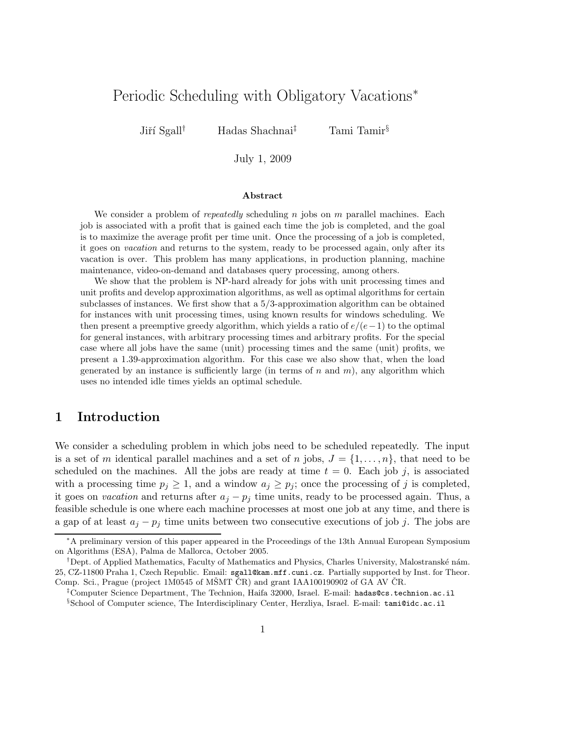# Periodic Scheduling with Obligatory Vacations<sup>∗</sup>

Jiří Sgall<sup>†</sup> Hadas Shachnai<sup>‡</sup> Tami Tamir<sup>§</sup>

July 1, 2009

#### Abstract

We consider a problem of *repeatedly* scheduling  $n$  jobs on  $m$  parallel machines. Each job is associated with a profit that is gained each time the job is completed, and the goal is to maximize the average profit per time unit. Once the processing of a job is completed, it goes on vacation and returns to the system, ready to be processed again, only after its vacation is over. This problem has many applications, in production planning, machine maintenance, video-on-demand and databases query processing, among others.

We show that the problem is NP-hard already for jobs with unit processing times and unit profits and develop approximation algorithms, as well as optimal algorithms for certain subclasses of instances. We first show that a 5/3-approximation algorithm can be obtained for instances with unit processing times, using known results for windows scheduling. We then present a preemptive greedy algorithm, which yields a ratio of  $e/(e-1)$  to the optimal for general instances, with arbitrary processing times and arbitrary profits. For the special case where all jobs have the same (unit) processing times and the same (unit) profits, we present a 1.39-approximation algorithm. For this case we also show that, when the load generated by an instance is sufficiently large (in terms of n and  $m$ ), any algorithm which uses no intended idle times yields an optimal schedule.

## 1 Introduction

We consider a scheduling problem in which jobs need to be scheduled repeatedly. The input is a set of m identical parallel machines and a set of n jobs,  $J = \{1, \ldots, n\}$ , that need to be scheduled on the machines. All the jobs are ready at time  $t = 0$ . Each job j, is associated with a processing time  $p_j \geq 1$ , and a window  $a_j \geq p_j$ ; once the processing of j is completed, it goes on *vacation* and returns after  $a_j - p_j$  time units, ready to be processed again. Thus, a feasible schedule is one where each machine processes at most one job at any time, and there is a gap of at least  $a_j - p_j$  time units between two consecutive executions of job j. The jobs are

<sup>∗</sup>A preliminary version of this paper appeared in the Proceedings of the 13th Annual European Symposium on Algorithms (ESA), Palma de Mallorca, October 2005.

<sup>&</sup>lt;sup>†</sup>Dept. of Applied Mathematics, Faculty of Mathematics and Physics, Charles University, Malostranské nám. 25, CZ-11800 Praha 1, Czech Republic. Email: sgall@kam.mff.cuni.cz. Partially supported by Inst. for Theor. Comp. Sci., Prague (project 1M0545 of MŠMT  $\rm \check{C}R$ ) and grant IAA100190902 of GA AV  $\rm \check{C}R$ .

<sup>‡</sup>Computer Science Department, The Technion, Haifa 32000, Israel. E-mail: hadas@cs.technion.ac.il §School of Computer science, The Interdisciplinary Center, Herzliya, Israel. E-mail: tami@idc.ac.il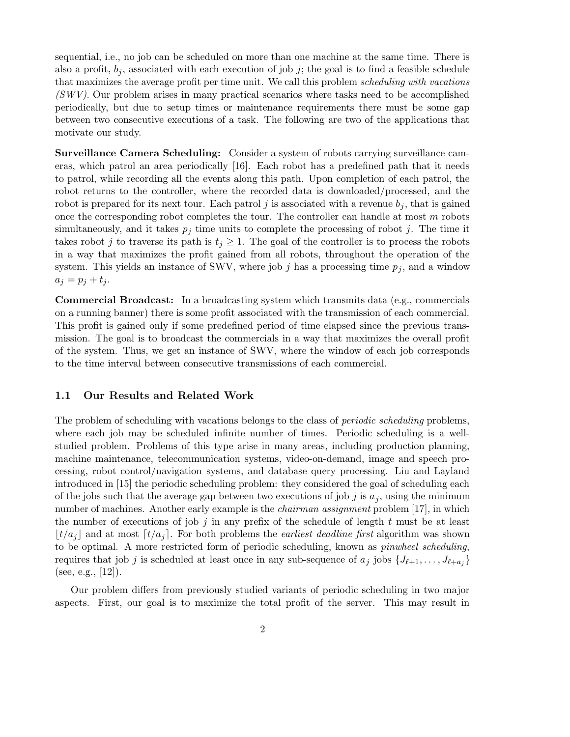sequential, i.e., no job can be scheduled on more than one machine at the same time. There is also a profit,  $b_i$ , associated with each execution of job j; the goal is to find a feasible schedule that maximizes the average profit per time unit. We call this problem *scheduling with vacations* (SWV). Our problem arises in many practical scenarios where tasks need to be accomplished periodically, but due to setup times or maintenance requirements there must be some gap between two consecutive executions of a task. The following are two of the applications that motivate our study.

Surveillance Camera Scheduling: Consider a system of robots carrying surveillance cameras, which patrol an area periodically [16]. Each robot has a predefined path that it needs to patrol, while recording all the events along this path. Upon completion of each patrol, the robot returns to the controller, where the recorded data is downloaded/processed, and the robot is prepared for its next tour. Each patrol j is associated with a revenue  $b_j$ , that is gained once the corresponding robot completes the tour. The controller can handle at most  $m$  robots simultaneously, and it takes  $p_j$  time units to complete the processing of robot j. The time it takes robot j to traverse its path is  $t_j \geq 1$ . The goal of the controller is to process the robots in a way that maximizes the profit gained from all robots, throughout the operation of the system. This yields an instance of SWV, where job j has a processing time  $p_j$ , and a window  $a_j = p_j + t_j.$ 

Commercial Broadcast: In a broadcasting system which transmits data (e.g., commercials on a running banner) there is some profit associated with the transmission of each commercial. This profit is gained only if some predefined period of time elapsed since the previous transmission. The goal is to broadcast the commercials in a way that maximizes the overall profit of the system. Thus, we get an instance of SWV, where the window of each job corresponds to the time interval between consecutive transmissions of each commercial.

## 1.1 Our Results and Related Work

The problem of scheduling with vacations belongs to the class of *periodic scheduling* problems, where each job may be scheduled infinite number of times. Periodic scheduling is a wellstudied problem. Problems of this type arise in many areas, including production planning, machine maintenance, telecommunication systems, video-on-demand, image and speech processing, robot control/navigation systems, and database query processing. Liu and Layland introduced in [15] the periodic scheduling problem: they considered the goal of scheduling each of the jobs such that the average gap between two executions of job j is  $a_j$ , using the minimum number of machines. Another early example is the *chairman assignment* problem [17], in which the number of executions of job j in any prefix of the schedule of length  $t$  must be at least  $\lfloor t/a_i \rfloor$  and at most  $\lfloor t/a_i \rfloor$ . For both problems the *earliest deadline first* algorithm was shown to be optimal. A more restricted form of periodic scheduling, known as pinwheel scheduling, requires that job j is scheduled at least once in any sub-sequence of  $a_j$  jobs  $\{J_{\ell+1}, \ldots, J_{\ell+a_j}\}\$ (see, e.g., [12]).

Our problem differs from previously studied variants of periodic scheduling in two major aspects. First, our goal is to maximize the total profit of the server. This may result in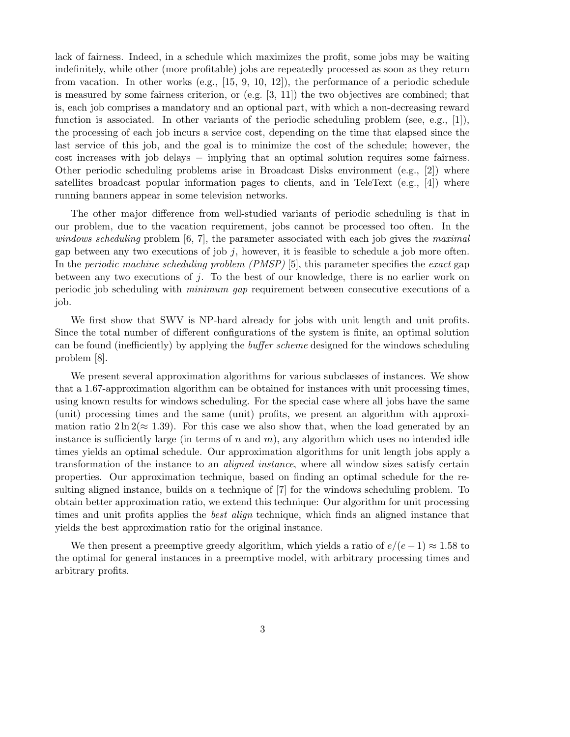lack of fairness. Indeed, in a schedule which maximizes the profit, some jobs may be waiting indefinitely, while other (more profitable) jobs are repeatedly processed as soon as they return from vacation. In other works (e.g., [15, 9, 10, 12]), the performance of a periodic schedule is measured by some fairness criterion, or  $(e.g. [3, 11])$  the two objectives are combined; that is, each job comprises a mandatory and an optional part, with which a non-decreasing reward function is associated. In other variants of the periodic scheduling problem (see, e.g., [1]), the processing of each job incurs a service cost, depending on the time that elapsed since the last service of this job, and the goal is to minimize the cost of the schedule; however, the cost increases with job delays − implying that an optimal solution requires some fairness. Other periodic scheduling problems arise in Broadcast Disks environment  $(e.g., [2])$  where satellites broadcast popular information pages to clients, and in TeleText (e.g., [4]) where running banners appear in some television networks.

The other major difference from well-studied variants of periodic scheduling is that in our problem, due to the vacation requirement, jobs cannot be processed too often. In the windows scheduling problem  $[6, 7]$ , the parameter associated with each job gives the maximal gap between any two executions of job  $j$ , however, it is feasible to schedule a job more often. In the *periodic machine scheduling problem (PMSP)* [5], this parameter specifies the *exact* gap between any two executions of j. To the best of our knowledge, there is no earlier work on periodic job scheduling with minimum gap requirement between consecutive executions of a job.

We first show that SWV is NP-hard already for jobs with unit length and unit profits. Since the total number of different configurations of the system is finite, an optimal solution can be found (inefficiently) by applying the *buffer scheme* designed for the windows scheduling problem [8].

We present several approximation algorithms for various subclasses of instances. We show that a 1.67-approximation algorithm can be obtained for instances with unit processing times, using known results for windows scheduling. For the special case where all jobs have the same (unit) processing times and the same (unit) profits, we present an algorithm with approximation ratio  $2 \ln 2 (\approx 1.39)$ . For this case we also show that, when the load generated by an instance is sufficiently large (in terms of n and  $m$ ), any algorithm which uses no intended idle times yields an optimal schedule. Our approximation algorithms for unit length jobs apply a transformation of the instance to an aligned instance, where all window sizes satisfy certain properties. Our approximation technique, based on finding an optimal schedule for the resulting aligned instance, builds on a technique of [7] for the windows scheduling problem. To obtain better approximation ratio, we extend this technique: Our algorithm for unit processing times and unit profits applies the *best align* technique, which finds an aligned instance that yields the best approximation ratio for the original instance.

We then present a preemptive greedy algorithm, which yields a ratio of  $e/(e-1) \approx 1.58$  to the optimal for general instances in a preemptive model, with arbitrary processing times and arbitrary profits.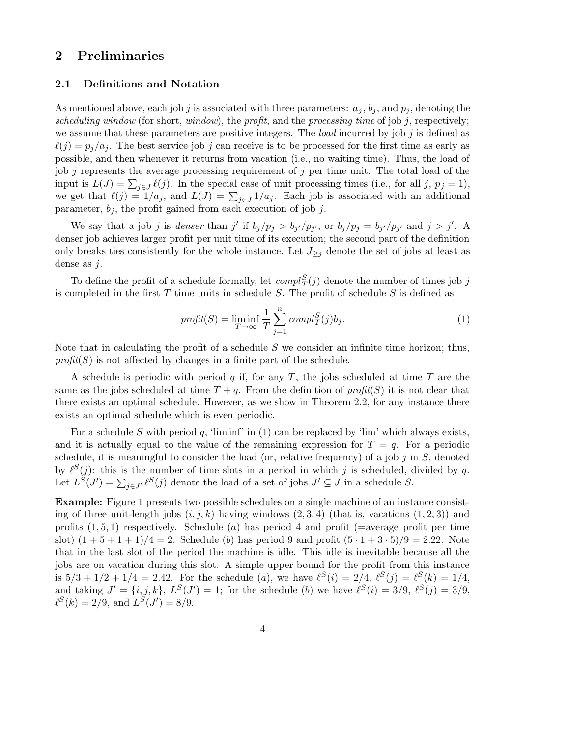## 2 Preliminaries

## 2.1 Definitions and Notation

As mentioned above, each job j is associated with three parameters:  $a_j, b_j$ , and  $p_j$ , denoting the scheduling window (for short, window), the profit, and the processing time of job j, respectively; we assume that these parameters are positive integers. The *load* incurred by job  $j$  is defined as  $\ell(j) = p_j/a_j$ . The best service job j can receive is to be processed for the first time as early as possible, and then whenever it returns from vacation (i.e., no waiting time). Thus, the load of job  $j$  represents the average processing requirement of  $j$  per time unit. The total load of the input is  $L(J) = \sum_{j \in J} \ell(j)$ . In the special case of unit processing times (i.e., for all j,  $p_j = 1$ ), we get that  $\ell(j) = 1/a_j$ , and  $L(J) = \sum_{j \in J} 1/a_j$ . Each job is associated with an additional parameter,  $b_j$ , the profit gained from each execution of job j.

We say that a job j is denser than j' if  $b_j/p_j > b_{j'}/p_{j'}$ , or  $b_j/p_j = b_{j'}/p_{j'}$  and  $j > j'$ . A denser job achieves larger profit per unit time of its execution; the second part of the definition only breaks ties consistently for the whole instance. Let  $J_{\geq j}$  denote the set of jobs at least as dense as j.

To define the profit of a schedule formally, let  $\text{compl}_{T}^{S}(j)$  denote the number of times job j is completed in the first  $T$  time units in schedule  $S$ . The profit of schedule  $S$  is defined as

$$
profit(S) = \liminf_{T \to \infty} \frac{1}{T} \sum_{j=1}^{n} compl_{T}^{S}(j)b_{j}.
$$
 (1)

Note that in calculating the profit of a schedule  $S$  we consider an infinite time horizon; thus,  $profit(S)$  is not affected by changes in a finite part of the schedule.

A schedule is periodic with period q if, for any  $T$ , the jobs scheduled at time  $T$  are the same as the jobs scheduled at time  $T + q$ . From the definition of profit(S) it is not clear that there exists an optimal schedule. However, as we show in Theorem 2.2, for any instance there exists an optimal schedule which is even periodic.

For a schedule S with period q, 'lim inf' in  $(1)$  can be replaced by 'lim' which always exists, and it is actually equal to the value of the remaining expression for  $T = q$ . For a periodic schedule, it is meaningful to consider the load (or, relative frequency) of a job  $j$  in  $S$ , denoted by  $\ell^{S}(j)$ : this is the number of time slots in a period in which j is scheduled, divided by q. Let  $L^{S}(J') = \sum_{j \in J'} \ell^{S}(j)$  denote the load of a set of jobs  $J' \subseteq J$  in a schedule S.

Example: Figure 1 presents two possible schedules on a single machine of an instance consisting of three unit-length jobs  $(i, j, k)$  having windows  $(2, 3, 4)$  (that is, vacations  $(1, 2, 3)$ ) and profits  $(1, 5, 1)$  respectively. Schedule (a) has period 4 and profit (=average profit per time slot)  $(1+5+1+1)/4 = 2$ . Schedule (b) has period 9 and profit  $(5 \cdot 1+3 \cdot 5)/9 = 2.22$ . Note that in the last slot of the period the machine is idle. This idle is inevitable because all the jobs are on vacation during this slot. A simple upper bound for the profit from this instance is  $5/3 + 1/2 + 1/4 = 2.42$ . For the schedule (a), we have  $\ell^{S}(i) = 2/4$ ,  $\ell^{S}(j) = \ell^{S}(k) = 1/4$ , and taking  $J' = \{i, j, k\}, L^{S}(J') = 1$ ; for the schedule (b) we have  $\ell^{S}(i) = 3/9, \ell^{S}(j) = 3/9$ ,  $\ell^{S}(k) = 2/9$ , and  $L^{S}(J') = 8/9$ .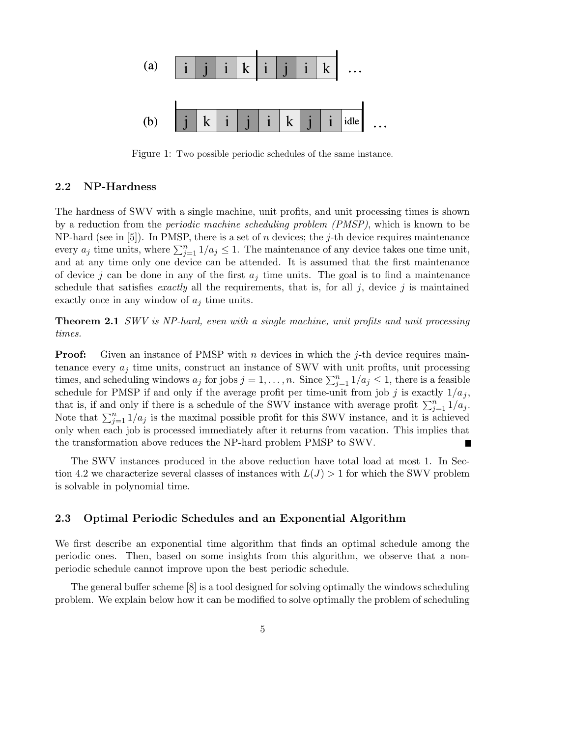

Figure 1: Two possible periodic schedules of the same instance.

## 2.2 NP-Hardness

The hardness of SWV with a single machine, unit profits, and unit processing times is shown by a reduction from the *periodic machine scheduling problem (PMSP)*, which is known to be NP-hard (see in [5]). In PMSP, there is a set of n devices; the j-th device requires maintenance every  $a_j$  time units, where  $\sum_{j=1}^n 1/a_j \leq 1$ . The maintenance of any device takes one time unit, and at any time only one device can be attended. It is assumed that the first maintenance of device j can be done in any of the first  $a_j$  time units. The goal is to find a maintenance schedule that satisfies *exactly* all the requirements, that is, for all  $j$ , device  $j$  is maintained exactly once in any window of  $a_j$  time units.

**Theorem 2.1** SWV is NP-hard, even with a single machine, unit profits and unit processing times.

**Proof:** Given an instance of PMSP with n devices in which the j-th device requires maintenance every  $a_j$  time units, construct an instance of SWV with unit profits, unit processing times, and scheduling windows  $a_j$  for jobs  $j = 1, \ldots, n$ . Since  $\sum_{j=1}^n 1/a_j \leq 1$ , there is a feasible schedule for PMSP if and only if the average profit per time-unit from job j is exactly  $1/a_j$ , that is, if and only if there is a schedule of the SWV instance with average profit  $\sum_{j=1}^{n} 1/a_j$ . Note that  $\sum_{j=1}^{n} 1/a_j$  is the maximal possible profit for this SWV instance, and it is achieved only when each job is processed immediately after it returns from vacation. This implies that the transformation above reduces the NP-hard problem PMSP to SWV.

The SWV instances produced in the above reduction have total load at most 1. In Section 4.2 we characterize several classes of instances with  $L(J) > 1$  for which the SWV problem is solvable in polynomial time.

### 2.3 Optimal Periodic Schedules and an Exponential Algorithm

We first describe an exponential time algorithm that finds an optimal schedule among the periodic ones. Then, based on some insights from this algorithm, we observe that a nonperiodic schedule cannot improve upon the best periodic schedule.

The general buffer scheme [8] is a tool designed for solving optimally the windows scheduling problem. We explain below how it can be modified to solve optimally the problem of scheduling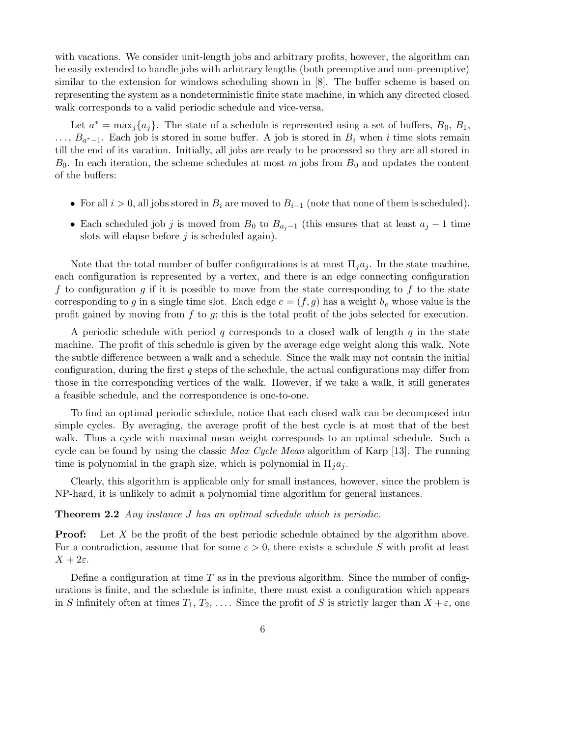with vacations. We consider unit-length jobs and arbitrary profits, however, the algorithm can be easily extended to handle jobs with arbitrary lengths (both preemptive and non-preemptive) similar to the extension for windows scheduling shown in [8]. The buffer scheme is based on representing the system as a nondeterministic finite state machine, in which any directed closed walk corresponds to a valid periodic schedule and vice-versa.

Let  $a^* = \max_j \{a_j\}$ . The state of a schedule is represented using a set of buffers,  $B_0, B_1$ ,  $\ldots, B_{a^*-1}$ . Each job is stored in some buffer. A job is stored in  $B_i$  when i time slots remain till the end of its vacation. Initially, all jobs are ready to be processed so they are all stored in  $B_0$ . In each iteration, the scheme schedules at most m jobs from  $B_0$  and updates the content of the buffers:

- For all  $i > 0$ , all jobs stored in  $B_i$  are moved to  $B_{i-1}$  (note that none of them is scheduled).
- Each scheduled job j is moved from  $B_0$  to  $B_{a_j-1}$  (this ensures that at least  $a_j-1$  time slots will elapse before  $j$  is scheduled again).

Note that the total number of buffer configurations is at most  $\Pi_i a_i$ . In the state machine, each configuration is represented by a vertex, and there is an edge connecting configuration f to configuration g if it is possible to move from the state corresponding to f to the state corresponding to g in a single time slot. Each edge  $e = (f, g)$  has a weight  $b_e$  whose value is the profit gained by moving from  $f$  to  $g$ ; this is the total profit of the jobs selected for execution.

A periodic schedule with period q corresponds to a closed walk of length  $q$  in the state machine. The profit of this schedule is given by the average edge weight along this walk. Note the subtle difference between a walk and a schedule. Since the walk may not contain the initial configuration, during the first q steps of the schedule, the actual configurations may differ from those in the corresponding vertices of the walk. However, if we take a walk, it still generates a feasible schedule, and the correspondence is one-to-one.

To find an optimal periodic schedule, notice that each closed walk can be decomposed into simple cycles. By averaging, the average profit of the best cycle is at most that of the best walk. Thus a cycle with maximal mean weight corresponds to an optimal schedule. Such a cycle can be found by using the classic *Max Cycle Mean* algorithm of Karp [13]. The running time is polynomial in the graph size, which is polynomial in  $\Pi_i a_i$ .

Clearly, this algorithm is applicable only for small instances, however, since the problem is NP-hard, it is unlikely to admit a polynomial time algorithm for general instances.

**Theorem 2.2** Any instance J has an optimal schedule which is periodic.

**Proof:** Let X be the profit of the best periodic schedule obtained by the algorithm above. For a contradiction, assume that for some  $\varepsilon > 0$ , there exists a schedule S with profit at least  $X + 2\varepsilon$ .

Define a configuration at time  $T$  as in the previous algorithm. Since the number of configurations is finite, and the schedule is infinite, there must exist a configuration which appears in S infinitely often at times  $T_1, T_2, \ldots$ . Since the profit of S is strictly larger than  $X + \varepsilon$ , one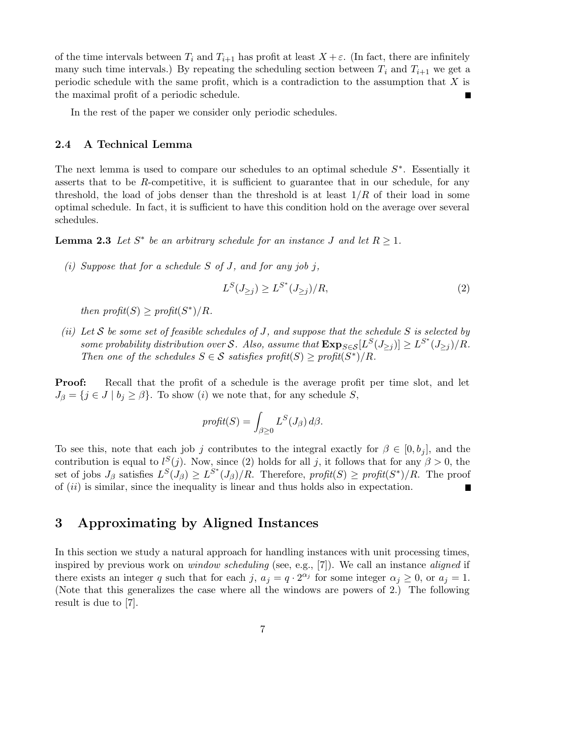of the time intervals between  $T_i$  and  $T_{i+1}$  has profit at least  $X + \varepsilon$ . (In fact, there are infinitely many such time intervals.) By repeating the scheduling section between  $T_i$  and  $T_{i+1}$  we get a periodic schedule with the same profit, which is a contradiction to the assumption that  $X$  is the maximal profit of a periodic schedule.

In the rest of the paper we consider only periodic schedules.

## 2.4 A Technical Lemma

The next lemma is used to compare our schedules to an optimal schedule  $S^*$ . Essentially it asserts that to be R-competitive, it is sufficient to guarantee that in our schedule, for any threshold, the load of jobs denser than the threshold is at least  $1/R$  of their load in some optimal schedule. In fact, it is sufficient to have this condition hold on the average over several schedules.

**Lemma 2.3** Let  $S^*$  be an arbitrary schedule for an instance J and let  $R \geq 1$ .

(i) Suppose that for a schedule  $S$  of  $J$ , and for any job j,

$$
L^{S}(J_{\geq j}) \geq L^{S^*}(J_{\geq j})/R,\tag{2}
$$

then  $\text{profit}(S) \geq \text{profit}(S^*)/R$ .

(ii) Let S be some set of feasible schedules of J, and suppose that the schedule S is selected by some probability distribution over S. Also, assume that  $\text{Exp}_{S \in \mathcal{S}}[L^S(J_{\geq j})] \geq L^{S^*}(J_{\geq j})/R$ . Then one of the schedules  $S \in \mathcal{S}$  satisfies  $\text{profit}(S) \geq \text{profit}(S^*)/R$ .

**Proof:** Recall that the profit of a schedule is the average profit per time slot, and let  $J_{\beta} = \{j \in J \mid b_j \geq \beta\}.$  To show (i) we note that, for any schedule S,

$$
\text{profit}(S) = \int_{\beta \geq 0} L^S(J_\beta) \, d\beta.
$$

To see this, note that each job j contributes to the integral exactly for  $\beta \in [0, b_i]$ , and the contribution is equal to  $l^{S}(j)$ . Now, since (2) holds for all j, it follows that for any  $\beta > 0$ , the set of jobs  $J_\beta$  satisfies  $L^S(J_\beta) \geq L^{S^*}(J_\beta)/R$ . Therefore, profit(S)  $\geq \text{profit}(S^*)/R$ . The proof of  $(ii)$  is similar, since the inequality is linear and thus holds also in expectation.

# 3 Approximating by Aligned Instances

In this section we study a natural approach for handling instances with unit processing times, inspired by previous work on *window scheduling* (see, e.g.,  $[7]$ ). We call an instance *aligned* if there exists an integer q such that for each j,  $a_j = q \cdot 2^{\alpha_j}$  for some integer  $\alpha_j \geq 0$ , or  $a_j = 1$ . (Note that this generalizes the case where all the windows are powers of 2.) The following result is due to [7].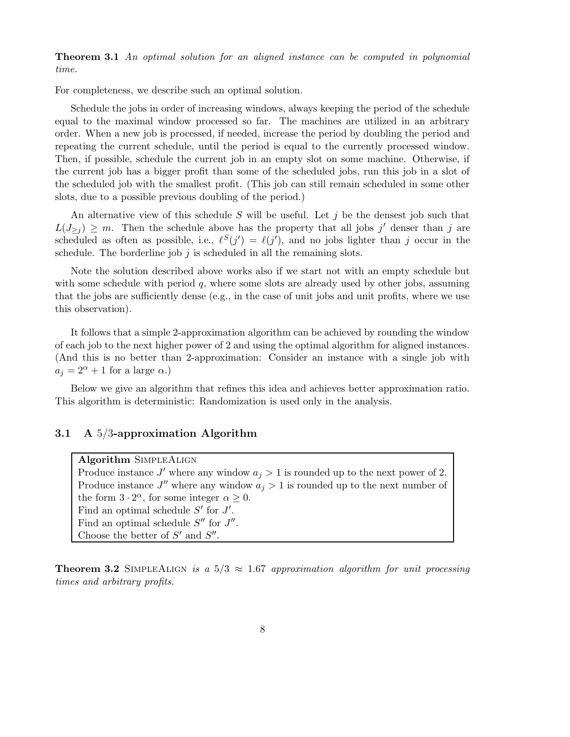**Theorem 3.1** An optimal solution for an aligned instance can be computed in polynomial time.

For completeness, we describe such an optimal solution.

Schedule the jobs in order of increasing windows, always keeping the period of the schedule equal to the maximal window processed so far. The machines are utilized in an arbitrary order. When a new job is processed, if needed, increase the period by doubling the period and repeating the current schedule, until the period is equal to the currently processed window. Then, if possible, schedule the current job in an empty slot on some machine. Otherwise, if the current job has a bigger profit than some of the scheduled jobs, run this job in a slot of the scheduled job with the smallest profit. (This job can still remain scheduled in some other slots, due to a possible previous doubling of the period.)

An alternative view of this schedule S will be useful. Let  $j$  be the densest job such that  $L(J_{\geq j}) \geq m$ . Then the schedule above has the property that all jobs j' denser than j are scheduled as often as possible, i.e.,  $\ell^{S}(j') = \ell(j')$ , and no jobs lighter than j occur in the schedule. The borderline job  $j$  is scheduled in all the remaining slots.

Note the solution described above works also if we start not with an empty schedule but with some schedule with period  $q$ , where some slots are already used by other jobs, assuming that the jobs are sufficiently dense (e.g., in the case of unit jobs and unit profits, where we use this observation).

It follows that a simple 2-approximation algorithm can be achieved by rounding the window of each job to the next higher power of 2 and using the optimal algorithm for aligned instances. (And this is no better than 2-approximation: Consider an instance with a single job with  $a_j = 2^{\alpha} + 1$  for a large  $\alpha$ .)

Below we give an algorithm that refines this idea and achieves better approximation ratio. This algorithm is deterministic: Randomization is used only in the analysis.

## 3.1 A 5/3-approximation Algorithm

## Algorithm SimpleAlign

Produce instance  $J'$  where any window  $a_j > 1$  is rounded up to the next power of 2. Produce instance  $J''$  where any window  $a_j > 1$  is rounded up to the next number of the form  $3 \cdot 2^{\alpha}$ , for some integer  $\alpha \geq 0$ . Find an optimal schedule  $S'$  for  $J'$ . Find an optimal schedule  $S''$  for  $J''$ . Choose the better of  $S'$  and  $S''$ .

**Theorem 3.2** SIMPLEALIGN is a 5/3  $\approx$  1.67 approximation algorithm for unit processing times and arbitrary profits.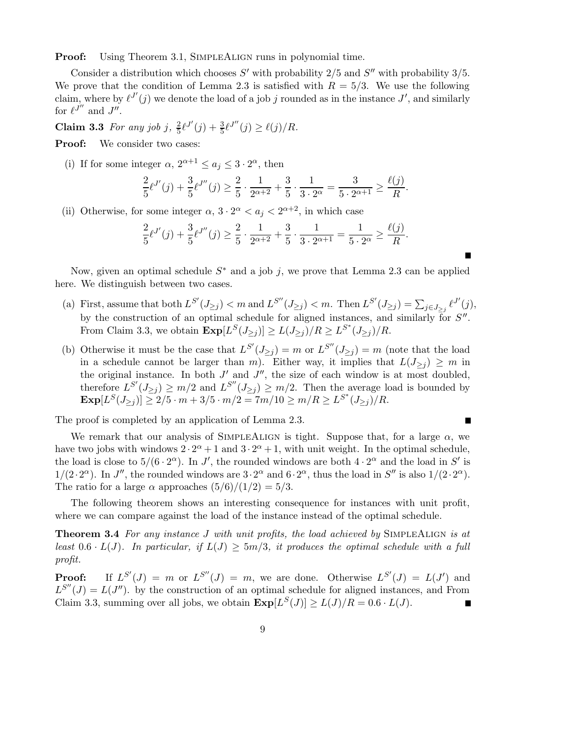**Proof:** Using Theorem 3.1, SIMPLEALIGN runs in polynomial time.

Consider a distribution which chooses S' with probability  $2/5$  and S'' with probability  $3/5$ . We prove that the condition of Lemma 2.3 is satisfied with  $R = 5/3$ . We use the following claim, where by  $\ell^{J'}(j)$  we denote the load of a job j rounded as in the instance  $J'$ , and similarly for  $\ell^{J''}$  and  $J''$ .

Claim 3.3 For any job j,  $\frac{2}{5}$  $\frac{2}{5} \ell^{J'}(j) + \frac{3}{5}$  $\frac{3}{5} \ell^{J''}(j) \ge \ell(j)/R.$ 

Proof: We consider two cases:

(i) If for some integer  $\alpha$ ,  $2^{\alpha+1} \le a_j \le 3 \cdot 2^{\alpha}$ , then

$$
\frac{2}{5} \ell^{J'}(j) + \frac{3}{5} \ell^{J''}(j) \ge \frac{2}{5} \cdot \frac{1}{2^{\alpha+2}} + \frac{3}{5} \cdot \frac{1}{3 \cdot 2^{\alpha}} = \frac{3}{5 \cdot 2^{\alpha+1}} \ge \frac{\ell(j)}{R}
$$

.

 $\blacksquare$ 

(ii) Otherwise, for some integer  $\alpha$ ,  $3 \cdot 2^{\alpha} < a_j < 2^{\alpha+2}$ , in which case

$$
\frac{2}{5} \ell^{J'}(j) + \frac{3}{5} \ell^{J''}(j) \ge \frac{2}{5} \cdot \frac{1}{2^{\alpha+2}} + \frac{3}{5} \cdot \frac{1}{3 \cdot 2^{\alpha+1}} = \frac{1}{5 \cdot 2^{\alpha}} \ge \frac{\ell(j)}{R}.
$$

Now, given an optimal schedule  $S^*$  and a job j, we prove that Lemma 2.3 can be applied here. We distinguish between two cases.

- (a) First, assume that both  $L^{S'}(J_{\geq j}) < m$  and  $L^{S''}(J_{\geq j}) < m$ . Then  $L^{S'}(J_{\geq j}) = \sum_{j \in J_{\geq j}} \ell^{J'}(j)$ , by the construction of an optimal schedule for aligned instances, and similarly for  $S''$ . From Claim 3.3, we obtain  $\mathbf{Exp}[L^S(J_{\geq j})] \geq L(J_{\geq j})/R \geq L^{S^*}(J_{\geq j})/R$ .
- (b) Otherwise it must be the case that  $L^{S'}(J_{\geq j}) = m$  or  $L^{S''}(J_{\geq j}) = m$  (note that the load in a schedule cannot be larger than m). Either way, it implies that  $L(J_{\geq j}) \geq m$  in the original instance. In both  $J'$  and  $J''$ , the size of each window is at most doubled, therefore  $L^{S'}(J_{\geq j}) \geq m/2$  and  $L^{S''}(J_{\geq j}) \geq m/2$ . Then the average load is bounded by  $\exp[L^{S}(J_{\geq j})] \geq 2/5 \cdot m + 3/5 \cdot m/2 = 7m/10 \geq m/R \geq L^{S^*}(J_{\geq j})/R$ .

The proof is completed by an application of Lemma 2.3.

We remark that our analysis of SIMPLEALIGN is tight. Suppose that, for a large  $\alpha$ , we have two jobs with windows  $2 \cdot 2^{\alpha} + 1$  and  $3 \cdot 2^{\alpha} + 1$ , with unit weight. In the optimal schedule, the load is close to  $5/(6 \cdot 2^{\alpha})$ . In J', the rounded windows are both  $4 \cdot 2^{\alpha}$  and the load in S' is  $1/(2 \cdot 2^{\alpha})$ . In J'', the rounded windows are  $3 \cdot 2^{\alpha}$  and  $6 \cdot 2^{\alpha}$ , thus the load in S'' is also  $1/(2 \cdot 2^{\alpha})$ . The ratio for a large  $\alpha$  approaches  $\frac{5}{6}/\frac{1}{2} = 5/3$ .

The following theorem shows an interesting consequence for instances with unit profit, where we can compare against the load of the instance instead of the optimal schedule.

**Theorem 3.4** For any instance J with unit profits, the load achieved by SIMPLEALIGN is at least  $0.6 \cdot L(J)$ . In particular, if  $L(J) \geq 5m/3$ , it produces the optimal schedule with a full profit.

Proof:  $S'(J) = m$  or  $L^{S''}(J) = m$ , we are done. Otherwise  $L^{S'}(J) = L(J')$  and  $L^{S''}(J) = L(J'')$ , by the construction of an optimal schedule for aligned instances, and From Claim 3.3, summing over all jobs, we obtain  $\mathbf{Exp}[L^S(J)] \ge L(J)/R = 0.6 \cdot L(J)$ .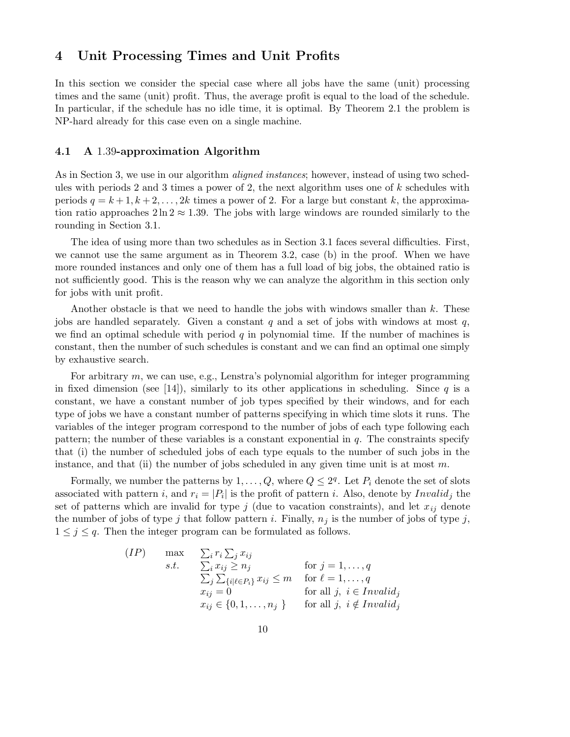## 4 Unit Processing Times and Unit Profits

In this section we consider the special case where all jobs have the same (unit) processing times and the same (unit) profit. Thus, the average profit is equal to the load of the schedule. In particular, if the schedule has no idle time, it is optimal. By Theorem 2.1 the problem is NP-hard already for this case even on a single machine.

## 4.1 A 1.39-approximation Algorithm

As in Section 3, we use in our algorithm *aligned instances*; however, instead of using two schedules with periods 2 and 3 times a power of 2, the next algorithm uses one of  $k$  schedules with periods  $q = k + 1, k + 2, \ldots, 2k$  times a power of 2. For a large but constant k, the approximation ratio approaches  $2 \ln 2 \approx 1.39$ . The jobs with large windows are rounded similarly to the rounding in Section 3.1.

The idea of using more than two schedules as in Section 3.1 faces several difficulties. First, we cannot use the same argument as in Theorem 3.2, case (b) in the proof. When we have more rounded instances and only one of them has a full load of big jobs, the obtained ratio is not sufficiently good. This is the reason why we can analyze the algorithm in this section only for jobs with unit profit.

Another obstacle is that we need to handle the jobs with windows smaller than k. These jobs are handled separately. Given a constant  $q$  and a set of jobs with windows at most  $q$ , we find an optimal schedule with period  $q$  in polynomial time. If the number of machines is constant, then the number of such schedules is constant and we can find an optimal one simply by exhaustive search.

For arbitrary m, we can use, e.g., Lenstra's polynomial algorithm for integer programming in fixed dimension (see [14]), similarly to its other applications in scheduling. Since q is a constant, we have a constant number of job types specified by their windows, and for each type of jobs we have a constant number of patterns specifying in which time slots it runs. The variables of the integer program correspond to the number of jobs of each type following each pattern; the number of these variables is a constant exponential in  $q$ . The constraints specify that (i) the number of scheduled jobs of each type equals to the number of such jobs in the instance, and that (ii) the number of jobs scheduled in any given time unit is at most  $m$ .

Formally, we number the patterns by  $1, \ldots, Q$ , where  $Q \leq 2^q$ . Let  $P_i$  denote the set of slots associated with pattern *i*, and  $r_i = |P_i|$  is the profit of pattern *i*. Also, denote by  $Invalid_j$  the set of patterns which are invalid for type  $j$  (due to vacation constraints), and let  $x_{ij}$  denote the number of jobs of type j that follow pattern i. Finally,  $n_j$  is the number of jobs of type j,  $1 \leq j \leq q$ . Then the integer program can be formulated as follows.

$$
(IP) \quad \max_{s.t.} \quad \sum_{i} r_i \sum_{j} x_{ij} \quad \text{for } j = 1, ..., q
$$
\n
$$
\sum_{j} \sum_{\{i \mid \ell \in P_i\}} x_{ij} \le m \quad \text{for } \ell = 1, ..., q
$$
\n
$$
x_{ij} = 0 \quad \text{for all } j, i \in \text{Invalid}_j
$$
\n
$$
x_{ij} \in \{0, 1, ..., n_j\} \quad \text{for all } j, i \notin \text{Invalid}_j
$$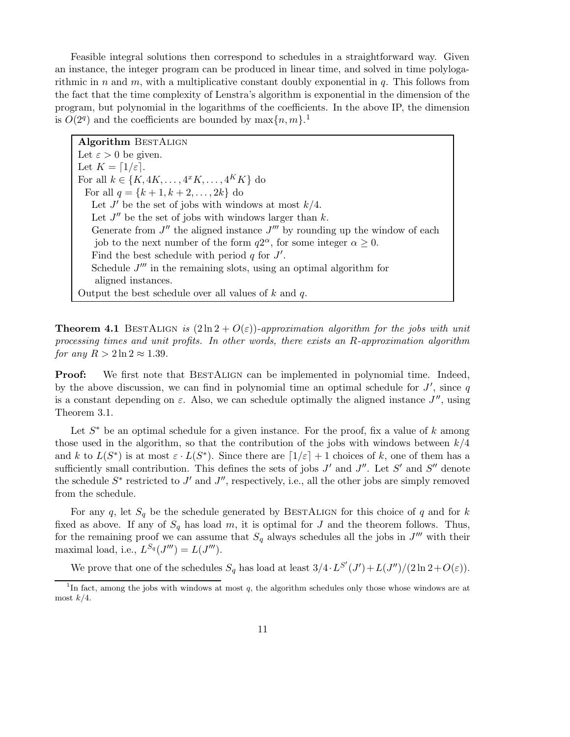Feasible integral solutions then correspond to schedules in a straightforward way. Given an instance, the integer program can be produced in linear time, and solved in time polylogarithmic in n and m, with a multiplicative constant doubly exponential in  $q$ . This follows from the fact that the time complexity of Lenstra's algorithm is exponential in the dimension of the program, but polynomial in the logarithms of the coefficients. In the above IP, the dimension is  $O(2^q)$  and the coefficients are bounded by  $\max\{n, m\}$ <sup>1</sup>

### Algorithm BESTALIGN

Let  $\varepsilon > 0$  be given. Let  $K = \lfloor 1/\varepsilon \rfloor$ . For all  $k \in \{K, 4K, \ldots, 4^xK, \ldots, 4^KK\}$  do For all  $q = \{k+1, k+2, \ldots, 2k\}$  do Let  $J'$  be the set of jobs with windows at most  $k/4$ . Let  $J''$  be the set of jobs with windows larger than  $k$ . Generate from  $J''$  the aligned instance  $J'''$  by rounding up the window of each job to the next number of the form  $q2^{\alpha}$ , for some integer  $\alpha \geq 0$ . Find the best schedule with period  $q$  for  $J'$ . Schedule  $J'''$  in the remaining slots, using an optimal algorithm for aligned instances. Output the best schedule over all values of  $k$  and  $q$ .

**Theorem 4.1** BESTALIGN is  $(2 \ln 2 + O(\varepsilon))$ -approximation algorithm for the jobs with unit processing times and unit profits. In other words, there exists an R-approximation algorithm for any  $R > 2 \ln 2 \approx 1.39$ .

**Proof:** We first note that BESTALIGN can be implemented in polynomial time. Indeed, by the above discussion, we can find in polynomial time an optimal schedule for  $J'$ , since  $q$ is a constant depending on  $\varepsilon$ . Also, we can schedule optimally the aligned instance  $J''$ , using Theorem 3.1.

Let  $S^*$  be an optimal schedule for a given instance. For the proof, fix a value of  $k$  among those used in the algorithm, so that the contribution of the jobs with windows between  $k/4$ and k to  $L(S^*)$  is at most  $\varepsilon \cdot L(S^*)$ . Since there are  $\lceil 1/\varepsilon \rceil + 1$  choices of k, one of them has a sufficiently small contribution. This defines the sets of jobs  $J'$  and  $J''$ . Let  $S'$  and  $S''$  denote the schedule  $S^*$  restricted to  $J'$  and  $J''$ , respectively, i.e., all the other jobs are simply removed from the schedule.

For any q, let  $S_q$  be the schedule generated by BESTALIGN for this choice of q and for k fixed as above. If any of  $S_q$  has load m, it is optimal for J and the theorem follows. Thus, for the remaining proof we can assume that  $S_q$  always schedules all the jobs in  $J'''$  with their maximal load, i.e.,  $L^{S_q}(J''') = L(J''')$ .

We prove that one of the schedules  $S_q$  has load at least  $3/4 \cdot L^{S'}(J') + L(J'')/(2 \ln 2 + O(\varepsilon)).$ 

<sup>&</sup>lt;sup>1</sup>In fact, among the jobs with windows at most  $q$ , the algorithm schedules only those whose windows are at most  $k/4$ .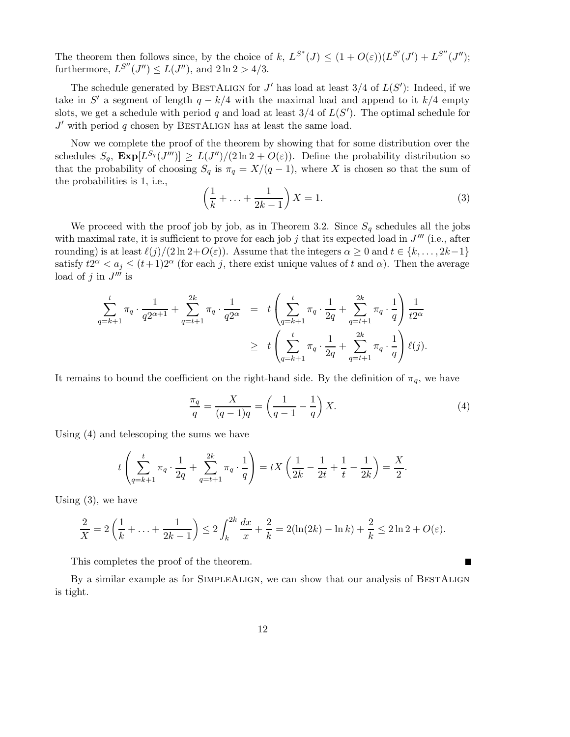The theorem then follows since, by the choice of k,  $L^{S^*}(J) \leq (1+O(\varepsilon))(L^{S'}(J') + L^{S''}(J'')$ ; furthermore,  $L^{S''}(J'') \leq L(J'')$ , and  $2 \ln 2 > 4/3$ .

The schedule generated by BESTALIGN for  $J'$  has load at least 3/4 of  $L(S')$ : Indeed, if we take in S' a segment of length  $q - k/4$  with the maximal load and append to it  $k/4$  empty slots, we get a schedule with period q and load at least  $3/4$  of  $L(S')$ . The optimal schedule for  $J'$  with period  $q$  chosen by BESTALIGN has at least the same load.

Now we complete the proof of the theorem by showing that for some distribution over the schedules  $S_q$ ,  $\mathbf{Exp}[L^{S_q}(J''')] \ge L(J'')/(2 \ln 2 + O(\varepsilon))$ . Define the probability distribution so that the probability of choosing  $S_q$  is  $\pi_q = X/(q-1)$ , where X is chosen so that the sum of the probabilities is 1, i.e.,

$$
\left(\frac{1}{k} + \ldots + \frac{1}{2k - 1}\right)X = 1.
$$
\n<sup>(3)</sup>

We proceed with the proof job by job, as in Theorem 3.2. Since  $S_q$  schedules all the jobs with maximal rate, it is sufficient to prove for each job j that its expected load in  $J'''$  (i.e., after rounding) is at least  $\ell(j)/(2 \ln 2+O(\varepsilon))$ . Assume that the integers  $\alpha \geq 0$  and  $t \in \{k, \ldots, 2k-1\}$ satisfy  $t2^{\alpha} < a_j \le (t+1)2^{\alpha}$  (for each j, there exist unique values of t and  $\alpha$ ). Then the average load of j in  $J'''$  is

$$
\sum_{q=k+1}^{t} \pi_q \cdot \frac{1}{q2^{\alpha+1}} + \sum_{q=t+1}^{2k} \pi_q \cdot \frac{1}{q2^{\alpha}} = t \left( \sum_{q=k+1}^{t} \pi_q \cdot \frac{1}{2q} + \sum_{q=t+1}^{2k} \pi_q \cdot \frac{1}{q} \right) \frac{1}{t2^{\alpha}}
$$
  
 
$$
\geq t \left( \sum_{q=k+1}^{t} \pi_q \cdot \frac{1}{2q} + \sum_{q=t+1}^{2k} \pi_q \cdot \frac{1}{q} \right) \ell(j).
$$

It remains to bound the coefficient on the right-hand side. By the definition of  $\pi_q$ , we have

$$
\frac{\pi_q}{q} = \frac{X}{(q-1)q} = \left(\frac{1}{q-1} - \frac{1}{q}\right)X.\tag{4}
$$

Using (4) and telescoping the sums we have

$$
t\left(\sum_{q=k+1}^{t} \pi_q \cdot \frac{1}{2q} + \sum_{q=t+1}^{2k} \pi_q \cdot \frac{1}{q}\right) = tX\left(\frac{1}{2k} - \frac{1}{2t} + \frac{1}{t} - \frac{1}{2k}\right) = \frac{X}{2}.
$$

Using  $(3)$ , we have

$$
\frac{2}{X} = 2\left(\frac{1}{k} + \ldots + \frac{1}{2k-1}\right) \le 2\int_{k}^{2k} \frac{dx}{x} + \frac{2}{k} = 2(\ln(2k) - \ln k) + \frac{2}{k} \le 2\ln 2 + O(\varepsilon).
$$

This completes the proof of the theorem.

By a similar example as for SimpleAlign, we can show that our analysis of BestAlign is tight.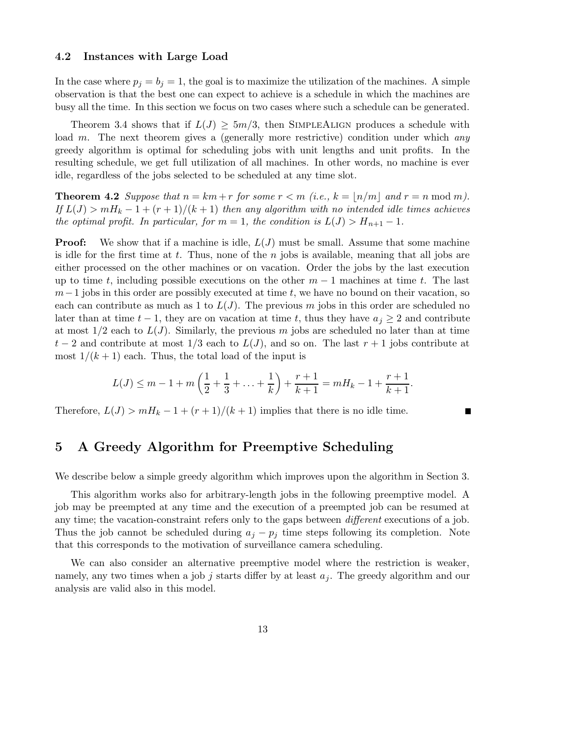## 4.2 Instances with Large Load

In the case where  $p_j = b_j = 1$ , the goal is to maximize the utilization of the machines. A simple observation is that the best one can expect to achieve is a schedule in which the machines are busy all the time. In this section we focus on two cases where such a schedule can be generated.

Theorem 3.4 shows that if  $L(J) \geq 5m/3$ , then SIMPLEALIGN produces a schedule with load m. The next theorem gives a (generally more restrictive) condition under which any greedy algorithm is optimal for scheduling jobs with unit lengths and unit profits. In the resulting schedule, we get full utilization of all machines. In other words, no machine is ever idle, regardless of the jobs selected to be scheduled at any time slot.

**Theorem 4.2** Suppose that  $n = km + r$  for some  $r < m$  (i.e.,  $k = |n/m|$  and  $r = n \mod m$ ). If  $L(J) > mH_k - 1 + (r + 1)/(k + 1)$  then any algorithm with no intended idle times achieves the optimal profit. In particular, for  $m = 1$ , the condition is  $L(J) > H_{n+1} - 1$ .

**Proof:** We show that if a machine is idle,  $L(J)$  must be small. Assume that some machine is idle for the first time at t. Thus, none of the  $n$  jobs is available, meaning that all jobs are either processed on the other machines or on vacation. Order the jobs by the last execution up to time t, including possible executions on the other  $m-1$  machines at time t. The last  $m-1$  jobs in this order are possibly executed at time t, we have no bound on their vacation, so each can contribute as much as 1 to  $L(J)$ . The previous m jobs in this order are scheduled no later than at time  $t - 1$ , they are on vacation at time t, thus they have  $a_j \geq 2$  and contribute at most  $1/2$  each to  $L(J)$ . Similarly, the previous m jobs are scheduled no later than at time  $t-2$  and contribute at most 1/3 each to  $L(J)$ , and so on. The last  $r+1$  jobs contribute at most  $1/(k+1)$  each. Thus, the total load of the input is

$$
L(J) \le m - 1 + m\left(\frac{1}{2} + \frac{1}{3} + \ldots + \frac{1}{k}\right) + \frac{r+1}{k+1} = mH_k - 1 + \frac{r+1}{k+1}.
$$

Therefore,  $L(J) > mH_k - 1 + (r+1)/(k+1)$  implies that there is no idle time.

#### $\blacksquare$

## 5 A Greedy Algorithm for Preemptive Scheduling

We describe below a simple greedy algorithm which improves upon the algorithm in Section 3.

This algorithm works also for arbitrary-length jobs in the following preemptive model. A job may be preempted at any time and the execution of a preempted job can be resumed at any time; the vacation-constraint refers only to the gaps between *different* executions of a job. Thus the job cannot be scheduled during  $a_j - p_j$  time steps following its completion. Note that this corresponds to the motivation of surveillance camera scheduling.

We can also consider an alternative preemptive model where the restriction is weaker, namely, any two times when a job j starts differ by at least  $a_j$ . The greedy algorithm and our analysis are valid also in this model.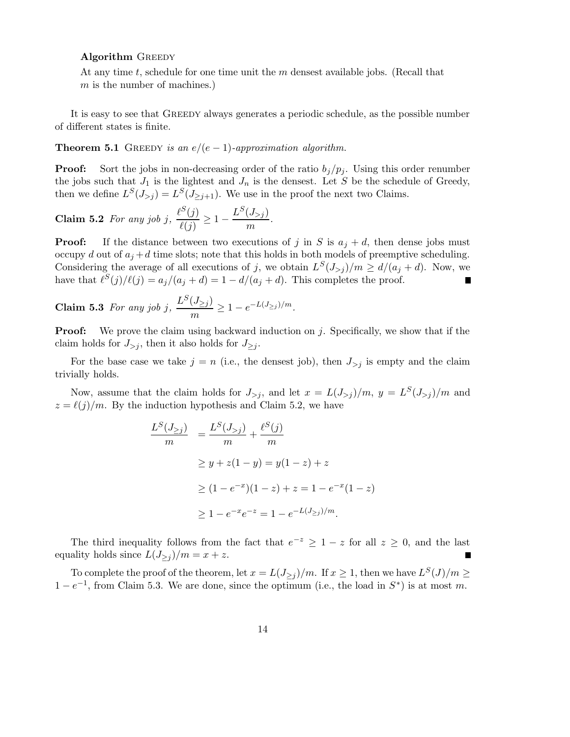#### Algorithm GREEDY

At any time t, schedule for one time unit the  $m$  densest available jobs. (Recall that m is the number of machines.)

It is easy to see that Greedy always generates a periodic schedule, as the possible number of different states is finite.

**Theorem 5.1** GREEDY is an  $e/(e-1)$ -approximation algorithm.

**Proof:** Sort the jobs in non-decreasing order of the ratio  $b_j/p_j$ . Using this order renumber the jobs such that  $J_1$  is the lightest and  $J_n$  is the densest. Let S be the schedule of Greedy, then we define  $L^{S}(J_{>j}) = L^{S}(J_{\geq j+1})$ . We use in the proof the next two Claims.

**Claim 5.2** For any job j, 
$$
\frac{\ell^S(j)}{\ell(j)} \geq 1 - \frac{L^S(J_{>j})}{m}
$$
.

**Proof:** If the distance between two executions of j in S is  $a_j + d$ , then dense jobs must occupy d out of  $a_j + d$  time slots; note that this holds in both models of preemptive scheduling. Considering the average of all executions of j, we obtain  $L^{S}(J_{>j})/m \geq d/(a_j + d)$ . Now, we have that  $\ell^{S}(j)/\ell(j) = a_j/(a_j + d) = 1 - d/(a_j + d)$ . This completes the proof.

**Claim 5.3** For any job j, 
$$
\frac{L^S(J_{\ge j})}{m} \ge 1 - e^{-L(J_{\ge j})/m}
$$
.

**Proof:** We prove the claim using backward induction on j. Specifically, we show that if the claim holds for  $J_{\geq j}$ , then it also holds for  $J_{\geq j}$ .

For the base case we take  $j = n$  (i.e., the densest job), then  $J_{>j}$  is empty and the claim trivially holds.

Now, assume that the claim holds for  $J_{>j}$ , and let  $x = L(J_{>j})/m$ ,  $y = L^{S}(J_{>j})/m$  and  $z = \ell(j)/m$ . By the induction hypothesis and Claim 5.2, we have

$$
\frac{L^S(J_{\ge j})}{m} = \frac{L^S(J_{>j})}{m} + \frac{\ell^S(j)}{m}
$$
  
\n
$$
\ge y + z(1 - y) = y(1 - z) + z
$$
  
\n
$$
\ge (1 - e^{-x})(1 - z) + z = 1 - e^{-x}(1 - z)
$$
  
\n
$$
\ge 1 - e^{-x}e^{-z} = 1 - e^{-L(J_{\ge j})/m}.
$$

The third inequality follows from the fact that  $e^{-z} \geq 1-z$  for all  $z \geq 0$ , and the last equality holds since  $L(J_{\geq j})/m = x + z$ .

To complete the proof of the theorem, let  $x = L(J_{\ge j})/m$ . If  $x \ge 1$ , then we have  $L^{S}(J)/m \ge 1$  $1-e^{-1}$ , from Claim 5.3. We are done, since the optimum (i.e., the load in  $S^*$ ) is at most m.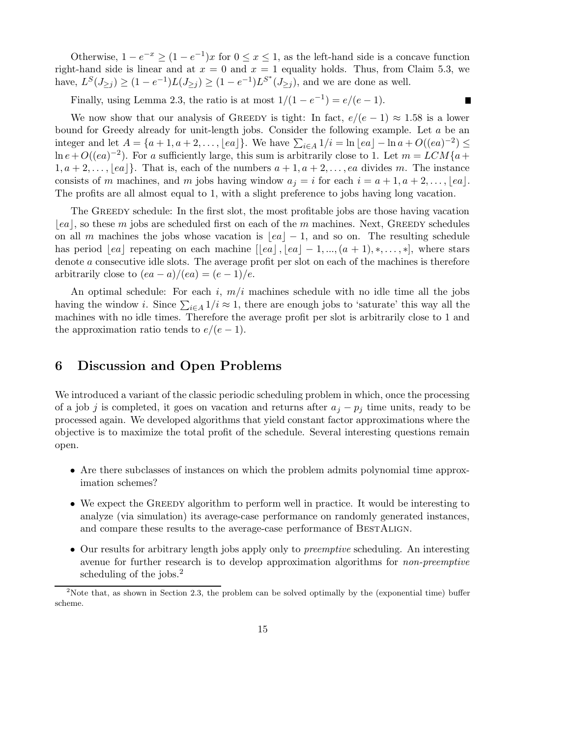Otherwise,  $1 - e^{-x} \ge (1 - e^{-1})x$  for  $0 \le x \le 1$ , as the left-hand side is a concave function right-hand side is linear and at  $x = 0$  and  $x = 1$  equality holds. Thus, from Claim 5.3, we have,  $L^{S}(J_{\geq j}) \geq (1 - e^{-1})L(J_{\geq j}) \geq (1 - e^{-1})L^{S^*}(J_{\geq j})$ , and we are done as well.

Finally, using Lemma 2.3, the ratio is at most  $1/(1-e^{-1})=e/(e-1)$ .

Г

We now show that our analysis of GREEDY is tight: In fact,  $e/(e-1) \approx 1.58$  is a lower bound for Greedy already for unit-length jobs. Consider the following example. Let a be an integer and let  $A = \{a+1, a+2, ..., \lfloor ea \rfloor\}$ . We have  $\sum_{i \in A} 1/i = \ln \lfloor ea \rfloor - \ln a + O((ea)^{-2}) \le$  $\ln e + O((ea)^{-2})$ . For a sufficiently large, this sum is arbitrarily close to 1. Let  $m = LCM\{a +$  $1, a + 2, \ldots, |ea|$ . That is, each of the numbers  $a + 1, a + 2, \ldots, ea$  divides m. The instance consists of m machines, and m jobs having window  $a_j = i$  for each  $i = a + 1, a + 2, \ldots, \lfloor ea \rfloor$ . The profits are all almost equal to 1, with a slight preference to jobs having long vacation.

The GREEDY schedule: In the first slot, the most profitable jobs are those having vacation  $|ea|$ , so these m jobs are scheduled first on each of the m machines. Next, GREEDY schedules on all m machines the jobs whose vacation is  $|ea| - 1$ , and so on. The resulting schedule has period  $|ea|$  repeating on each machine  $[|ea|, |ea| - 1, ..., (a + 1), *, ..., *]$ , where stars denote a consecutive idle slots. The average profit per slot on each of the machines is therefore arbitrarily close to  $(ea - a)/(ea) = (e - 1)/e$ .

An optimal schedule: For each i,  $m/i$  machines schedule with no idle time all the jobs having the window *i*. Since  $\sum_{i \in A} 1/i \approx 1$ , there are enough jobs to 'saturate' this way all the machines with no idle times. Therefore the average profit per slot is arbitrarily close to 1 and the approximation ratio tends to  $e/(e-1)$ .

## 6 Discussion and Open Problems

We introduced a variant of the classic periodic scheduling problem in which, once the processing of a job j is completed, it goes on vacation and returns after  $a_j - p_j$  time units, ready to be processed again. We developed algorithms that yield constant factor approximations where the objective is to maximize the total profit of the schedule. Several interesting questions remain open.

- Are there subclasses of instances on which the problem admits polynomial time approximation schemes?
- We expect the GREEDY algorithm to perform well in practice. It would be interesting to analyze (via simulation) its average-case performance on randomly generated instances, and compare these results to the average-case performance of BestAlign.
- Our results for arbitrary length jobs apply only to *preemptive* scheduling. An interesting avenue for further research is to develop approximation algorithms for non-preemptive scheduling of the jobs.<sup>2</sup>

<sup>&</sup>lt;sup>2</sup>Note that, as shown in Section 2.3, the problem can be solved optimally by the (exponential time) buffer scheme.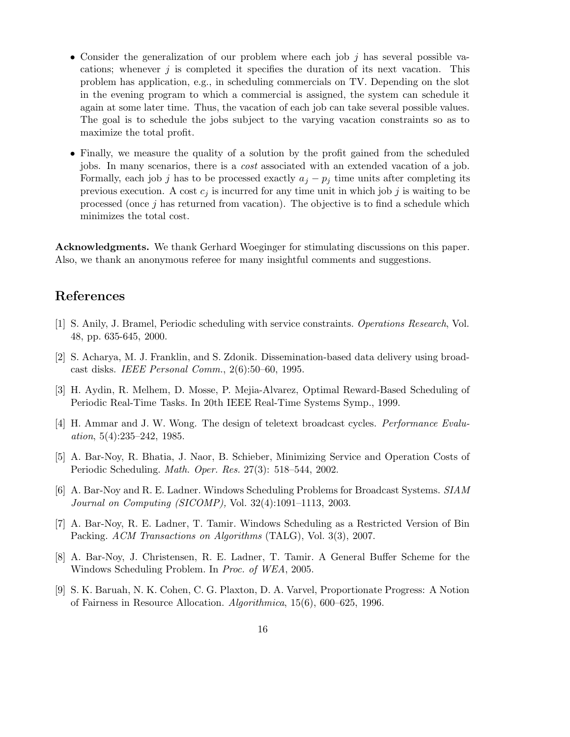- Consider the generalization of our problem where each job  $j$  has several possible vacations; whenever  $j$  is completed it specifies the duration of its next vacation. This problem has application, e.g., in scheduling commercials on TV. Depending on the slot in the evening program to which a commercial is assigned, the system can schedule it again at some later time. Thus, the vacation of each job can take several possible values. The goal is to schedule the jobs subject to the varying vacation constraints so as to maximize the total profit.
- Finally, we measure the quality of a solution by the profit gained from the scheduled jobs. In many scenarios, there is a cost associated with an extended vacation of a job. Formally, each job j has to be processed exactly  $a_j - p_j$  time units after completing its previous execution. A cost  $c_j$  is incurred for any time unit in which job j is waiting to be processed (once  $j$  has returned from vacation). The objective is to find a schedule which minimizes the total cost.

Acknowledgments. We thank Gerhard Woeginger for stimulating discussions on this paper. Also, we thank an anonymous referee for many insightful comments and suggestions.

# References

- [1] S. Anily, J. Bramel, Periodic scheduling with service constraints. Operations Research, Vol. 48, pp. 635-645, 2000.
- [2] S. Acharya, M. J. Franklin, and S. Zdonik. Dissemination-based data delivery using broadcast disks. IEEE Personal Comm., 2(6):50–60, 1995.
- [3] H. Aydin, R. Melhem, D. Mosse, P. Mejia-Alvarez, Optimal Reward-Based Scheduling of Periodic Real-Time Tasks. In 20th IEEE Real-Time Systems Symp., 1999.
- [4] H. Ammar and J. W. Wong. The design of teletext broadcast cycles. Performance Evaluation, 5(4):235–242, 1985.
- [5] A. Bar-Noy, R. Bhatia, J. Naor, B. Schieber, Minimizing Service and Operation Costs of Periodic Scheduling. Math. Oper. Res. 27(3): 518–544, 2002.
- [6] A. Bar-Noy and R. E. Ladner. Windows Scheduling Problems for Broadcast Systems. SIAM Journal on Computing (SICOMP), Vol. 32(4):1091–1113, 2003.
- [7] A. Bar-Noy, R. E. Ladner, T. Tamir. Windows Scheduling as a Restricted Version of Bin Packing. ACM Transactions on Algorithms (TALG), Vol. 3(3), 2007.
- [8] A. Bar-Noy, J. Christensen, R. E. Ladner, T. Tamir. A General Buffer Scheme for the Windows Scheduling Problem. In Proc. of WEA, 2005.
- [9] S. K. Baruah, N. K. Cohen, C. G. Plaxton, D. A. Varvel, Proportionate Progress: A Notion of Fairness in Resource Allocation. Algorithmica, 15(6), 600–625, 1996.